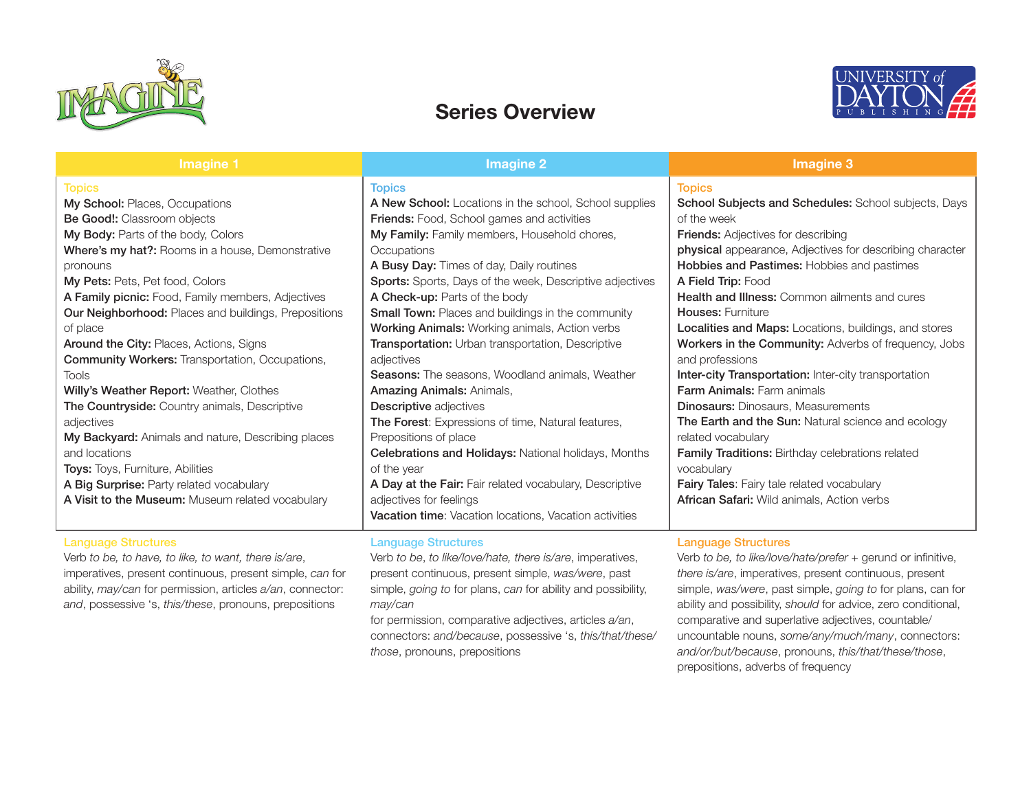

## Series Overview



| Imagine 1                                                                                                                                                                                                                                                                                                                                                                                          | Imagine 2                                                                                                                                                                                                                                                                                                                                                                                                                                                                                        | <b>Imagine 3</b>                                                                                                                                                                                                                                                                                                                                                                                                                                                                          |
|----------------------------------------------------------------------------------------------------------------------------------------------------------------------------------------------------------------------------------------------------------------------------------------------------------------------------------------------------------------------------------------------------|--------------------------------------------------------------------------------------------------------------------------------------------------------------------------------------------------------------------------------------------------------------------------------------------------------------------------------------------------------------------------------------------------------------------------------------------------------------------------------------------------|-------------------------------------------------------------------------------------------------------------------------------------------------------------------------------------------------------------------------------------------------------------------------------------------------------------------------------------------------------------------------------------------------------------------------------------------------------------------------------------------|
| <b>Topics</b><br>My School: Places, Occupations<br><b>Be Good!:</b> Classroom objects<br>My Body: Parts of the body, Colors<br>Where's my hat?: Rooms in a house, Demonstrative<br>pronouns<br>My Pets: Pets, Pet food, Colors<br>A Family picnic: Food, Family members, Adjectives<br>Our Neighborhood: Places and buildings, Prepositions<br>of place<br>Around the City: Places, Actions, Signs | <b>Topics</b><br>A New School: Locations in the school, School supplies<br>Friends: Food, School games and activities<br>My Family: Family members, Household chores,<br>Occupations<br>A Busy Day: Times of day, Daily routines<br>Sports: Sports, Days of the week, Descriptive adjectives<br>A Check-up: Parts of the body<br><b>Small Town: Places and buildings in the community</b><br>Working Animals: Working animals, Action verbs<br>Transportation: Urban transportation, Descriptive | <b>Topics</b><br>School Subjects and Schedules: School subjects, Days<br>of the week<br><b>Friends:</b> Adjectives for describing<br>physical appearance, Adjectives for describing character<br>Hobbies and Pastimes: Hobbies and pastimes<br>A Field Trip: Food<br><b>Health and Illness:</b> Common ailments and cures<br><b>Houses: Furniture</b><br>Localities and Maps: Locations, buildings, and stores<br>Workers in the Community: Adverbs of frequency, Jobs<br>and professions |
| <b>Community Workers: Transportation, Occupations,</b><br>Tools<br>Willy's Weather Report: Weather, Clothes<br>The Countryside: Country animals, Descriptive<br>adjectives<br>My Backyard: Animals and nature, Describing places<br>and locations<br>Toys: Toys, Furniture, Abilities<br>A Big Surprise: Party related vocabulary<br>A Visit to the Museum: Museum related vocabulary              | adjectives<br><b>Seasons:</b> The seasons, Woodland animals, Weather<br>Amazing Animals: Animals,<br><b>Descriptive adjectives</b><br>The Forest: Expressions of time, Natural features,<br>Prepositions of place<br>Celebrations and Holidays: National holidays, Months<br>of the year<br>A Day at the Fair: Fair related vocabulary, Descriptive<br>adjectives for feelings<br>Vacation time: Vacation locations, Vacation activities                                                         | Inter-city Transportation: Inter-city transportation<br><b>Farm Animals: Farm animals</b><br><b>Dinosaurs: Dinosaurs, Measurements</b><br>The Earth and the Sun: Natural science and ecology<br>related vocabulary<br>Family Traditions: Birthday celebrations related<br>vocabulary<br><b>Fairy Tales:</b> Fairy tale related vocabulary<br>African Safari: Wild animals, Action verbs                                                                                                   |
| <b>Language Structures</b><br>Verb to be, to have, to like, to want, there is/are,                                                                                                                                                                                                                                                                                                                 | <b>Language Structures</b><br>Verb to be, to like/love/hate, there is/are, imperatives,                                                                                                                                                                                                                                                                                                                                                                                                          | <b>Language Structures</b><br>Verb to be, to like/love/hate/prefer + gerund or infinitive,                                                                                                                                                                                                                                                                                                                                                                                                |

imperatives, present continuous, present simple, *can* for ability, *may/can* for permission, articles *a/an*, connector: *and*, possessive 's, *this/these*, pronouns, prepositions

present continuous, present simple, *was/were*, past simple, *going to* for plans, *can* for ability and possibility, *may/can*

for permission, comparative adjectives, articles *a/an*, connectors: *and/because*, possessive 's, *this/that/these/ those*, pronouns, prepositions

*there is/are*, imperatives, present continuous, present simple, *was/were*, past simple, *going to* for plans, can for ability and possibility, *should* for advice, zero conditional, comparative and superlative adjectives, countable/ uncountable nouns, *some/any/much/many*, connectors: *and/or/but/because*, pronouns, *this/that/these/those*, prepositions, adverbs of frequency